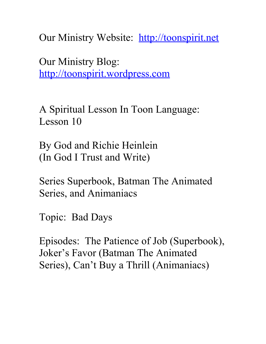Our Ministry Website: [http://toonspirit.net](http://toonspirit.net/)

Our Ministry Blog: [http://toonspirit.wordpress.com](http://toonspirit.wordpress.com/)

A Spiritual Lesson In Toon Language: Lesson 10

By God and Richie Heinlein (In God I Trust and Write)

Series Superbook, Batman The Animated Series, and Animaniacs

Topic: Bad Days

Episodes: The Patience of Job (Superbook), Joker's Favor (Batman The Animated Series), Can't Buy a Thrill (Animaniacs)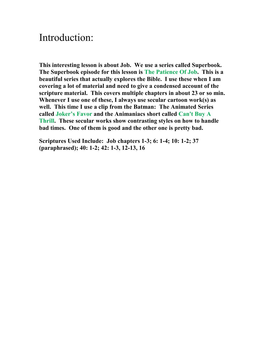## Introduction:

**This interesting lesson is about Job. We use a series called Superbook. The Superbook episode for this lesson is The Patience Of Job. This is a beautiful series that actually explores the Bible. I use these when I am covering a lot of material and need to give a condensed account of the scripture material. This covers multiple chapters in about 23 or so min. Whenever I use one of these, I always use secular cartoon work(s) as well. This time I use a clip from the Batman: The Animated Series called Joker's Favor and the Animaniacs short called Can't Buy A Thrill. These secular works show contrasting styles on how to handle bad times. One of them is good and the other one is pretty bad.**

**Scriptures Used Include: Job chapters 1-3; 6: 1-4; 10: 1-2; 37 (paraphrased); 40: 1-2; 42: 1-3, 12-13, 16**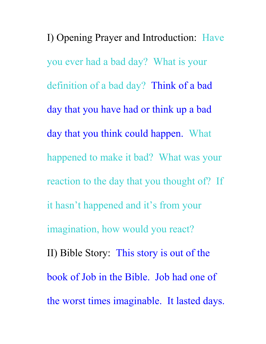I) Opening Prayer and Introduction: Have you ever had a bad day? What is your definition of a bad day? Think of a bad day that you have had or think up a bad day that you think could happen. What happened to make it bad? What was your reaction to the day that you thought of? If it hasn't happened and it's from your imagination, how would you react? II) Bible Story: This story is out of the book of Job in the Bible. Job had one of the worst times imaginable. It lasted days.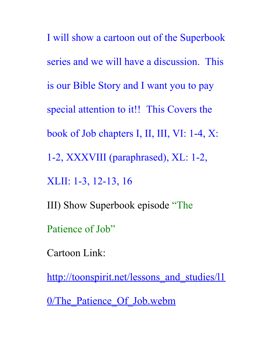I will show a cartoon out of the Superbook series and we will have a discussion. This is our Bible Story and I want you to pay special attention to it!! This Covers the book of Job chapters I, II, III, VI: 1-4, X: 1-2, XXXVIII (paraphrased), XL: 1-2, XLII: 1-3, 12-13, 16 III) Show Superbook episode "The Patience of Job"

Cartoon Link:

http://toonspirit.net/lessons and studies/l1

0/The Patience Of Job.webm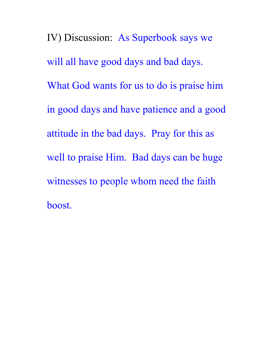IV) Discussion: As Superbook says we will all have good days and bad days. What God wants for us to do is praise him in good days and have patience and a good attitude in the bad days. Pray for this as well to praise Him. Bad days can be huge witnesses to people whom need the faith boost.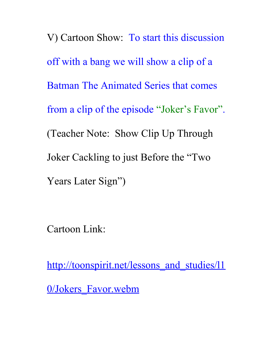V) Cartoon Show: To start this discussion off with a bang we will show a clip of a Batman The Animated Series that comes from a clip of the episode "Joker's Favor". (Teacher Note: Show Clip Up Through Joker Cackling to just Before the "Two Years Later Sign")

Cartoon Link:

http://toonspirit.net/lessons and studies/l1 0/Jokers Favor.webm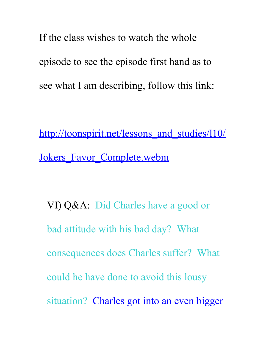If the class wishes to watch the whole episode to see the episode first hand as to see what I am describing, follow this link:

http://toonspirit.net/lessons and studies/l10/ [Jokers\\_Favor\\_Complete.webm](http://toonspirit.net/lessons_and_studies/l10/Jokers_Favor_Complete.webm)

VI) Q&A: Did Charles have a good or bad attitude with his bad day? What consequences does Charles suffer? What could he have done to avoid this lousy situation? Charles got into an even bigger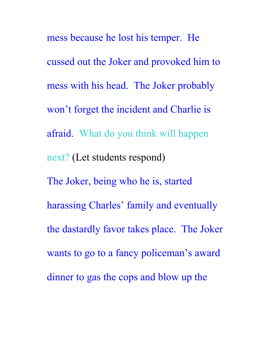mess because he lost his temper. He cussed out the Joker and provoked him to mess with his head. The Joker probably won't forget the incident and Charlie is afraid. What do you think will happen next? (Let students respond) The Joker, being who he is, started harassing Charles' family and eventually the dastardly favor takes place. The Joker wants to go to a fancy policeman's award dinner to gas the cops and blow up the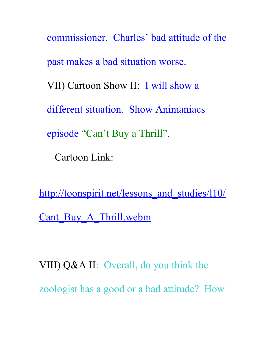commissioner. Charles' bad attitude of the past makes a bad situation worse. VII) Cartoon Show II: I will show a different situation. Show Animaniacs episode "Can't Buy a Thrill". Cartoon Link:

http://toonspirit.net/lessons and studies/l10/ [Cant\\_Buy\\_A\\_Thrill.webm](http://toonspirit.net/lessons_and_studies/l10/Cant_Buy_A_Thrill.webm)

VIII) Q&A II: Overall, do you think the zoologist has a good or a bad attitude? How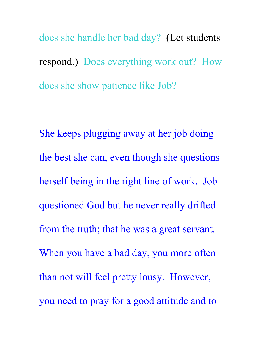does she handle her bad day? (Let students respond.) Does everything work out? How does she show patience like Job?

She keeps plugging away at her job doing the best she can, even though she questions herself being in the right line of work. Job questioned God but he never really drifted from the truth; that he was a great servant. When you have a bad day, you more often than not will feel pretty lousy. However, you need to pray for a good attitude and to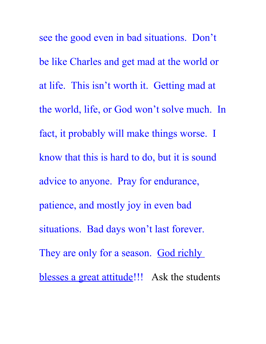see the good even in bad situations. Don't be like Charles and get mad at the world or at life. This isn't worth it. Getting mad at the world, life, or God won't solve much. In fact, it probably will make things worse. I know that this is hard to do, but it is sound advice to anyone. Pray for endurance, patience, and mostly joy in even bad situations. Bad days won't last forever. They are only for a season. God richly blesses a great attitude!!! Ask the students